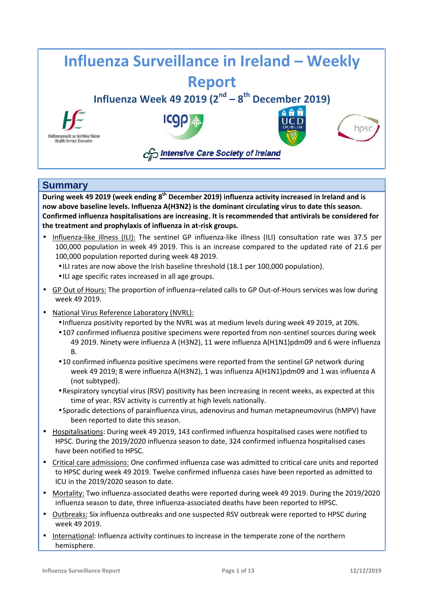

## **Summary**

**During week 49 2019 (week ending 8<sup>th</sup> December 2019) influenza activity increased in Ireland and is now above baseline levels. Influenza A(H3N2) is the dominant circulating virus to date this season. Confirmed influenza hospitalisations are increasing. It is recommended that antivirals be considered for the treatment and prophylaxis of influenza in at-risk groups.**

- Influenza-like illness (ILI): The sentinel GP influenza-like illness (ILI) consultation rate was 37.5 per 100,000 population in week 49 2019. This is an increase compared to the updated rate of 21.6 per 100,000 population reported during week 48 2019.
	- ILI rates are now above the Irish baseline threshold (18.1 per 100,000 population).
	- ILI age specific rates increased in all age groups.
- GP Out of Hours: The proportion of influenza–related calls to GP Out-of-Hours services was low during week 49 2019.
- National Virus Reference Laboratory (NVRL):
	- Influenza positivity reported by the NVRL was at medium levels during week 49 2019, at 20%.
	- 107 confirmed influenza positive specimens were reported from non-sentinel sources during week 49 2019. Ninety were influenza A (H3N2), 11 were influenza A(H1N1)pdm09 and 6 were influenza B.
	- 10 confirmed influenza positive specimens were reported from the sentinel GP network during week 49 2019; 8 were influenza A(H3N2), 1 was influenza A(H1N1)pdm09 and 1 was influenza A (not subtyped).
	- Respiratory syncytial virus (RSV) positivity has been increasing in recent weeks, as expected at this time of year. RSV activity is currently at high levels nationally.
	- Sporadic detections of parainfluenza virus, adenovirus and human metapneumovirus (hMPV) have been reported to date this season.
- Hospitalisations: During week 49 2019, 143 confirmed influenza hospitalised cases were notified to HPSC. During the 2019/2020 influenza season to date, 324 confirmed influenza hospitalised cases have been notified to HPSC.
- Critical care admissions: One confirmed influenza case was admitted to critical care units and reported to HPSC during week 49 2019. Twelve confirmed influenza cases have been reported as admitted to ICU in the 2019/2020 season to date.
- Mortality: Two influenza-associated deaths were reported during week 49 2019. During the 2019/2020 influenza season to date, three influenza-associated deaths have been reported to HPSC.
- Outbreaks: Six influenza outbreaks and one suspected RSV outbreak were reported to HPSC during week 49 2019.
- International: Influenza activity continues to increase in the temperate zone of the northern hemisphere.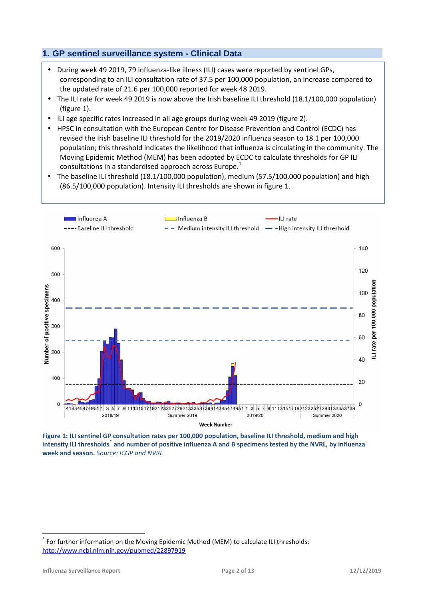## **1. GP sentinel surveillance system - Clinical Data**

- During week 49 2019, 79 influenza-like illness (ILI) cases were reported by sentinel GPs, corresponding to an ILI consultation rate of 37.5 per 100,000 population, an increase compared to the updated rate of 21.6 per 100,000 reported for week 48 2019.
- The ILI rate for week 49 2019 is now above the Irish baseline ILI threshold (18.1/100,000 population) (figure 1).
- ILI age specific rates increased in all age groups during week 49 2019 (figure 2).
- HPSC in consultation with the European Centre for Disease Prevention and Control (ECDC) has revised the Irish baseline ILI threshold for the 2019/2020 influenza season to 18.1 per 100,000 population; this threshold indicates the likelihood that influenza is circulating in the community. The Moving Epidemic Method (MEM) has been adopted by ECDC to calculate thresholds for GP ILI consultations in a standardised approach across Europe.<sup>1</sup>
- The baseline ILI threshold (18.1/100,000 population), medium (57.5/100,000 population) and high (86.5/100,000 population). Intensity ILI thresholds are shown in figure 1.



**Figure 1: ILI sentinel GP consultation rates per 100,000 population, baseline ILI threshold, medium and high intensity ILI thresholds\* and number of positive influenza A and B specimens tested by the NVRL, by influenza week and season.** *Source: ICGP and NVRL*

For further information on the Moving Epidemic Method (MEM) to calculate ILI thresholds: http://www.ncbi.nlm.nih.gov/pubmed/22897919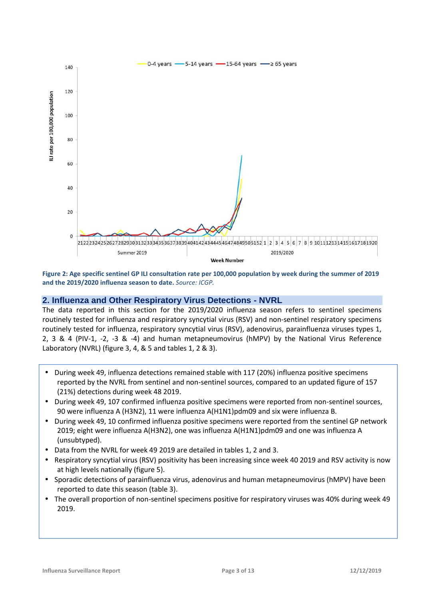

**Figure 2: Age specific sentinel GP ILI consultation rate per 100,000 population by week during the summer of 2019 and the 2019/2020 influenza season to date.** *Source: ICGP.*

### **2. Influenza and Other Respiratory Virus Detections - NVRL**

The data reported in this section for the 2019/2020 influenza season refers to sentinel specimens routinely tested for influenza and respiratory syncytial virus (RSV) and non-sentinel respiratory specimens routinely tested for influenza, respiratory syncytial virus (RSV), adenovirus, parainfluenza viruses types 1, 2, 3 & 4 (PIV-1, -2, -3 & -4) and human metapneumovirus (hMPV) by the National Virus Reference Laboratory (NVRL) (figure 3, 4, & 5 and tables 1, 2 & 3).

- During week 49, influenza detections remained stable with 117 (20%) influenza positive specimens reported by the NVRL from sentinel and non-sentinel sources, compared to an updated figure of 157 (21%) detections during week 48 2019.
- During week 49, 107 confirmed influenza positive specimens were reported from non-sentinel sources, 90 were influenza A (H3N2), 11 were influenza A(H1N1)pdm09 and six were influenza B.
- During week 49, 10 confirmed influenza positive specimens were reported from the sentinel GP network 2019; eight were influenza A(H3N2), one was influenza A(H1N1)pdm09 and one was influenza A (unsubtyped).
- Data from the NVRL for week 49 2019 are detailed in tables 1, 2 and 3.
- Respiratory syncytial virus (RSV) positivity has been increasing since week 40 2019 and RSV activity is now at high levels nationally (figure 5).
- Sporadic detections of parainfluenza virus, adenovirus and human metapneumovirus (hMPV) have been reported to date this season (table 3).
- The overall proportion of non-sentinel specimens positive for respiratory viruses was 40% during week 49 2019.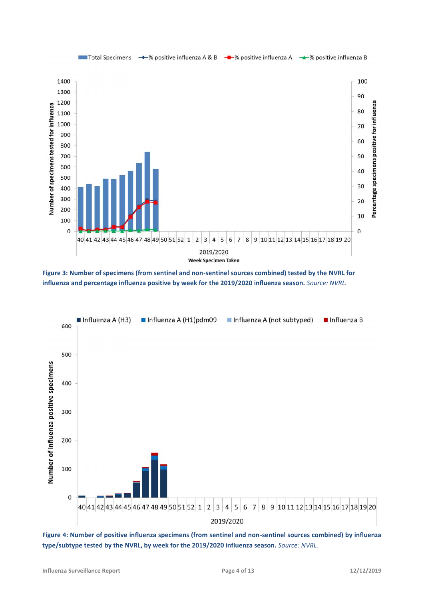

**Figure 3: Number of specimens (from sentinel and non-sentinel sources combined) tested by the NVRL for influenza and percentage influenza positive by week for the 2019/2020 influenza season.** *Source: NVRL.*



**Figure 4: Number of positive influenza specimens (from sentinel and non-sentinel sources combined) by influenza type/subtype tested by the NVRL, by week for the 2019/2020 influenza season.** *Source: NVRL.*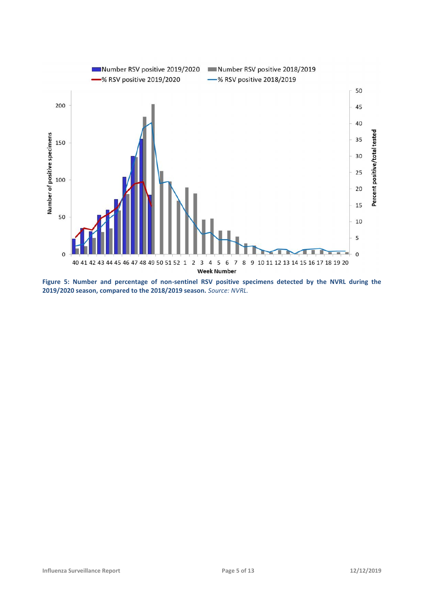

**Figure 5: Number and percentage of non-sentinel RSV positive specimens detected by the NVRL during the 2019/2020 season, compared to the 2018/2019 season.** *Source: NVRL.*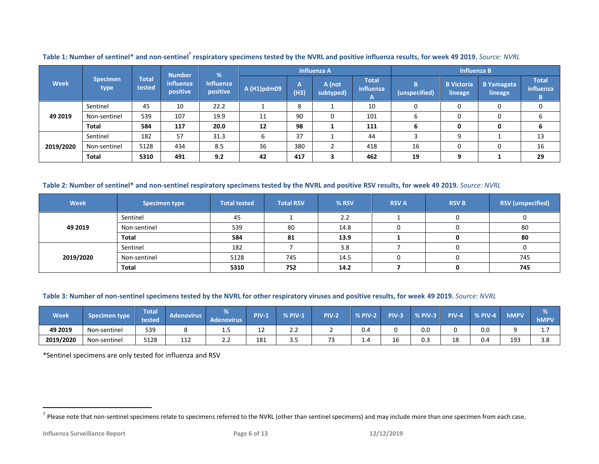|                                 |              |                        | <b>Number</b>         | %                            | <b>Influenza A</b> |             |                     |                                                 | <b>Influenza B</b> |                              |                              |                         |
|---------------------------------|--------------|------------------------|-----------------------|------------------------------|--------------------|-------------|---------------------|-------------------------------------------------|--------------------|------------------------------|------------------------------|-------------------------|
| <b>Specimen</b><br>Week<br>type |              | <b>Total</b><br>tested | influenza<br>positive | <b>Influenza</b><br>positive | A (H1)pdm09        | ,,,<br>(H3) | A (not<br>subtyped) | Total <sup>1</sup><br>influenza<br>$\mathbf{A}$ | B<br>(unspecified) | <b>B</b> Victoria<br>lineage | <b>B</b> Yamagata<br>lineage | Total<br>influenza<br>B |
|                                 | Sentinel     | 45                     | 10                    | 22.2                         |                    | 8           |                     | 10                                              | 0                  |                              |                              | 0                       |
| 49 2019                         | Non-sentinel | 539                    | 107                   | 19.9                         | 11                 | 90          | 0                   | 101                                             | 6                  |                              | 0                            | 6                       |
|                                 | <b>Total</b> | 584                    | 117                   | 20.0                         | 12                 | 98          |                     | 111                                             | ь                  | 0                            | 0                            | 6                       |
| 2019/2020                       | Sentinel     | 182                    | 57                    | 31.3                         |                    | 37          |                     | 44                                              |                    | 9                            |                              | 13                      |
|                                 | Non-sentinel | 5128                   | 434                   | 8.5                          | 36                 | 380         |                     | 418                                             | 16                 |                              |                              | 16                      |
|                                 | Total        | 5310                   | 491                   | 9.2                          | 42                 | 417         | З                   | 462                                             | 19                 | 9                            |                              | 29                      |

**Table 1: Number of sentinel\* and non-sentinel† respiratory specimens tested by the NVRL and positive influenza results, for week 49 2019.** *Source: NVRL*

### **Table 2: Number of sentinel\* and non-sentinel respiratory specimens tested by the NVRL and positive RSV results, for week 49 2019.** *Source: NVRL*

| <b>Week</b> | <b>Specimen type</b> | <b>Total tested</b> | <b>Total RSV</b> | % RSV | <b>RSV A</b> | <b>RSV B</b> | <b>RSV</b> (unspecified) |
|-------------|----------------------|---------------------|------------------|-------|--------------|--------------|--------------------------|
|             | Sentinel             | 45                  |                  | 2.2   |              |              |                          |
| 49 2019     | Non-sentinel         | 539                 | 80               | 14.8  | ∩            |              | 80                       |
|             | Total                | 584                 | 81               | 13.9  |              | 0            | 80                       |
|             | Sentinel             | 182                 |                  | 3.8   |              |              |                          |
| 2019/2020   | Non-sentinel         | 5128                | 745              | 14.5  |              |              | 745                      |
|             | Total                | 5310                | 752              | 14.2  |              |              | 745                      |

#### **Table 3: Number of non-sentinel specimens tested by the NVRL for other respiratory viruses and positive results, for week 49 2019.** *Source: NVRL*

| <b>Week</b> | specimen type: | <b>Total</b><br>tested | Adenovirus | enovirus | PIV- | <b>% PIV-1</b> | PIV-2 | % PIV-2 | <b>PIV-3</b> | % PIV-3 | <b>PIV-4</b> | % PIV-4 | hMPV | hMPV    |
|-------------|----------------|------------------------|------------|----------|------|----------------|-------|---------|--------------|---------|--------------|---------|------|---------|
| 49 2019     | Non-sentinel   | 539                    |            | ---      | ᅩᄼ   | ے ۔            |       | 0.4     |              | 0.0     |              | 0.0     |      | <b></b> |
| 2019/2020   | Non-sentinel   | 5128                   | 110<br>ᅩᅶ  | ے . ۔    | 181  |                |       | -1.4    |              | U.J     | ΠR           | 0.4     | 193  | 3.8     |

\*Sentinel specimens are only tested for influenza and RSV

 $\dagger$  Please note that non-sentinel specimens relate to specimens referred to the NVRL (other than sentinel specimens) and may include more than one specimen from each case.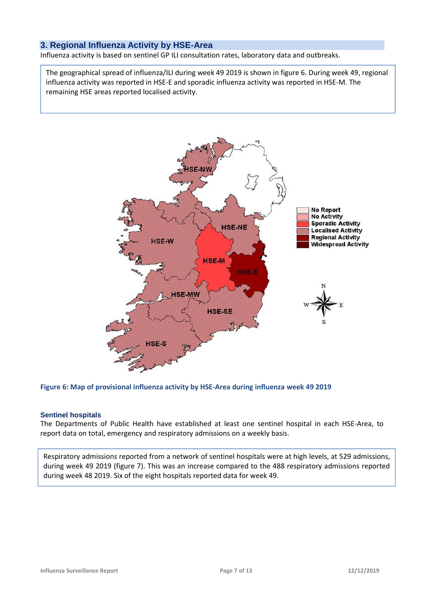### **3. Regional Influenza Activity by HSE-Area**

Influenza activity is based on sentinel GP ILI consultation rates, laboratory data and outbreaks.

The geographical spread of influenza/ILI during week 49 2019 is shown in figure 6. During week 49, regional influenza activity was reported in HSE-E and sporadic influenza activity was reported in HSE-M. The remaining HSE areas reported localised activity.



#### **Figure 6: Map of provisional influenza activity by HSE-Area during influenza week 49 2019**

#### **Sentinel hospitals**

The Departments of Public Health have established at least one sentinel hospital in each HSE-Area, to report data on total, emergency and respiratory admissions on a weekly basis.

Respiratory admissions reported from a network of sentinel hospitals were at high levels, at 529 admissions, during week 49 2019 (figure 7). This was an increase compared to the 488 respiratory admissions reported during week 48 2019. Six of the eight hospitals reported data for week 49.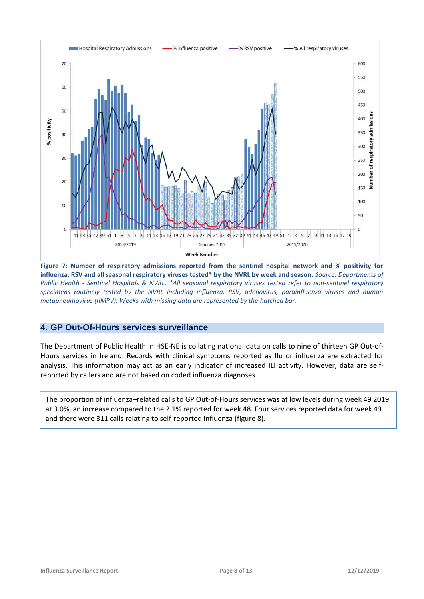

**Figure 7: Number of respiratory admissions reported from the sentinel hospital network and % positivity for influenza, RSV and all seasonal respiratory viruses tested\* by the NVRL by week and season.** *Source: Departments of Public Health - Sentinel Hospitals & NVRL. \*All seasonal respiratory viruses tested refer to non-sentinel respiratory specimens routinely tested by the NVRL including influenza, RSV, adenovirus, parainfluenza viruses and human metapneumovirus (hMPV). Weeks with missing data are represented by the hatched bar.*

### **4. GP Out-Of-Hours services surveillance**

The Department of Public Health in HSE-NE is collating national data on calls to nine of thirteen GP Out-of- Hours services in Ireland. Records with clinical symptoms reported as flu or influenza are extracted for analysis. This information may act as an early indicator of increased ILI activity. However, data are self reported by callers and are not based on coded influenza diagnoses.

The proportion of influenza–related calls to GP Out-of-Hours services was at low levels during week 49 2019 at 3.0%, an increase compared to the 2.1% reported for week 48. Four services reported data for week 49 and there were 311 calls relating to self-reported influenza (figure 8).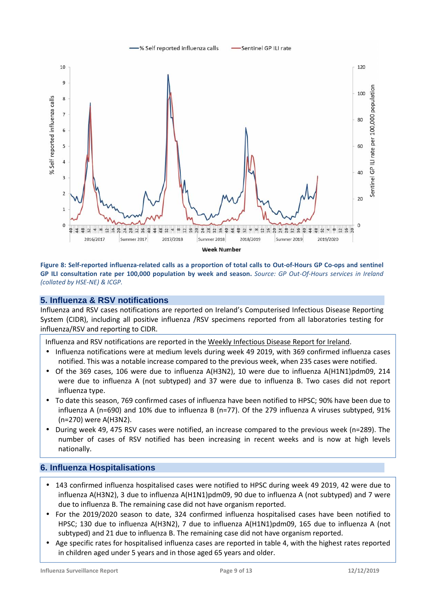

#### **Figure 8: Self-reported influenza-related calls as a proportion of total calls to Out-of-Hours GP Co-ops and sentinel GP ILI consultation rate per 100,000 population by week and season.** *Source: GP Out-Of-Hours services in Ireland (collated by HSE-NE) & ICGP.*

### **5. Influenza & RSV notifications**

Influenza and RSV cases notifications are reported on Ireland's Computerised Infectious Disease Reporting System (CIDR), including all positive influenza /RSV specimens reported from all laboratories testing for influenza/RSV and reporting to CIDR.

Influenza and RSV notifications are reported in the Weekly Infectious Disease Report for Ireland.

- Influenza notifications were at medium levels during week 49 2019, with 369 confirmed influenza cases notified. This was a notable increase compared to the previous week, when 235 cases were notified.
- Of the 369 cases, 106 were due to influenza A(H3N2), 10 were due to influenza A(H1N1)pdm09, 214 were due to influenza A (not subtyped) and 37 were due to influenza B. Two cases did not report influenza type.
- To date this season, 769 confirmed cases of influenza have been notified to HPSC; 90% have been due to influenza A (n=690) and 10% due to influenza B (n=77). Of the 279 influenza A viruses subtyped, 91% (n=270) were A(H3N2).
- During week 49, 475 RSV cases were notified, an increase compared to the previous week (n=289). The number of cases of RSV notified has been increasing in recent weeks and is now at high levels nationally.

### **6. Influenza Hospitalisations**

- 143 confirmed influenza hospitalised cases were notified to HPSC during week 49 2019, 42 were due to influenza A(H3N2), 3 due to influenza A(H1N1)pdm09, 90 due to influenza A (not subtyped) and 7 were due to influenza B. The remaining case did not have organism reported.
- For the 2019/2020 season to date, 324 confirmed influenza hospitalised cases have been notified to HPSC; 130 due to influenza A(H3N2), 7 due to influenza A(H1N1)pdm09, 165 due to influenza A (not subtyped) and 21 due to influenza B. The remaining case did not have organism reported.
- Age specific rates for hospitalised influenza cases are reported in table 4, with the highest rates reported in children aged under 5 years and in those aged 65 years and older.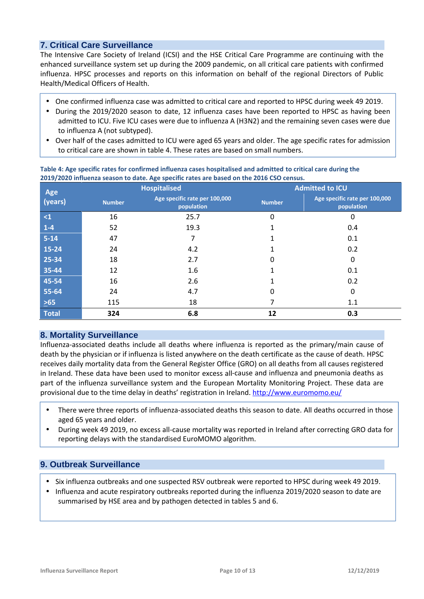## **7. Critical Care Surveillance**

The Intensive Care Society of Ireland (ICSI) and the HSE Critical Care Programme are continuing with the enhanced surveillance system set up during the 2009 pandemic, on all critical care patients with confirmed influenza. HPSC processes and reports on this information on behalf of the regional Directors of Public Health/Medical Officers of Health.

- One confirmed influenza case was admitted to critical care and reported to HPSC during week 49 2019.
- During the 2019/2020 season to date, 12 influenza cases have been reported to HPSC as having been admitted to ICU. Five ICU cases were due to influenza A (H3N2) and the remaining seven cases were due to influenza A (not subtyped).
- Over half of the cases admitted to ICU were aged 65 years and older. The age specific rates for admission to critical care are shown in table 4. These rates are based on small numbers.

| Age          |               | <b>Hospitalised</b>                         | <b>Admitted to ICU</b> |                                             |  |  |
|--------------|---------------|---------------------------------------------|------------------------|---------------------------------------------|--|--|
| (years)      | <b>Number</b> | Age specific rate per 100,000<br>population | <b>Number</b>          | Age specific rate per 100,000<br>population |  |  |
| $\leq 1$     | 16            | 25.7                                        | 0                      | 0                                           |  |  |
| $1 - 4$      | 52            | 19.3                                        |                        | 0.4                                         |  |  |
| $5 - 14$     | 47            | 7                                           |                        | 0.1                                         |  |  |
| 15-24        | 24            | 4.2                                         |                        | 0.2                                         |  |  |
| 25-34        | 18            | 2.7                                         | 0                      | 0                                           |  |  |
| 35-44        | 12            | 1.6                                         |                        | 0.1                                         |  |  |
| 45-54        | 16            | 2.6                                         |                        | 0.2                                         |  |  |
| 55-64        | 24            | 4.7                                         | 0                      | 0                                           |  |  |
| $\geq 65$    | 115           | 18                                          | 7                      | 1.1                                         |  |  |
| <b>Total</b> | 324           | 6.8                                         | 12                     | 0.3                                         |  |  |

#### **Table 4: Age specific rates for confirmed influenza cases hospitalised and admitted to critical care during the 2019/2020 influenza season to date. Age specific rates are based on the 2016 CSO census.**

## **8. Mortality Surveillance**

Influenza-associated deaths include all deaths where influenza is reported as the primary/main cause of death by the physician or if influenza is listed anywhere on the death certificate as the cause of death. HPSC receives daily mortality data from the General Register Office (GRO) on all deaths from all causes registered in Ireland. These data have been used to monitor excess all-cause and influenza and pneumonia deaths as part of the influenza surveillance system and the European Mortality Monitoring Project. These data are provisional due to the time delay in deaths' registration in Ireland. http://www.euromomo.eu/

- There were three reports of influenza-associated deaths this season to date. All deaths occurred in those aged 65 years and older.
- During week 49 2019, no excess all-cause mortality was reported in Ireland after correcting GRO data for reporting delays with the standardised EuroMOMO algorithm.

## **9. Outbreak Surveillance**

- Six influenza outbreaks and one suspected RSV outbreak were reported to HPSC during week 49 2019.
- Influenza and acute respiratory outbreaks reported during the influenza 2019/2020 season to date are summarised by HSE area and by pathogen detected in tables 5 and 6.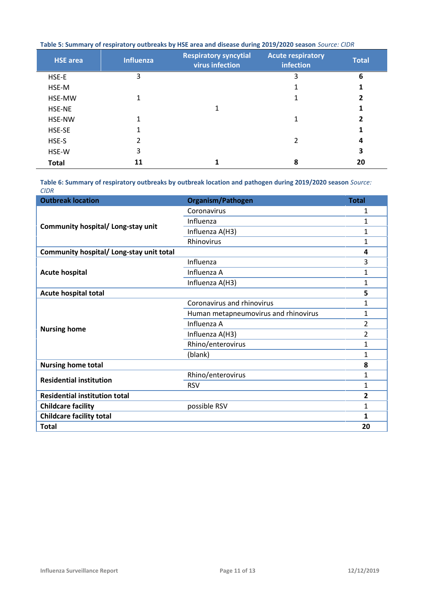|  |  |  | Table 5: Summary of respiratory outbreaks by HSE area and disease during 2019/2020 season Source: CIDR |
|--|--|--|--------------------------------------------------------------------------------------------------------|
|--|--|--|--------------------------------------------------------------------------------------------------------|

| <b>HSE</b> area | <b>Influenza</b> | <b>Respiratory syncytial</b><br>virus infection | <b>Acute respiratory</b><br>infection | <b>Total</b> |
|-----------------|------------------|-------------------------------------------------|---------------------------------------|--------------|
| HSE-E           | 3                |                                                 | 3                                     | 6            |
| HSE-M           |                  |                                                 |                                       |              |
| HSE-MW          | 1                |                                                 |                                       | 2            |
| HSE-NE          |                  |                                                 |                                       |              |
| HSE-NW          |                  |                                                 | 1                                     | 2            |
| HSE-SE          |                  |                                                 |                                       |              |
| HSE-S           |                  |                                                 |                                       | 4            |
| HSE-W           | 3                |                                                 |                                       | 3            |
| <b>Total</b>    | 11               |                                                 | 8                                     | 20           |

**Table 6: Summary of respiratory outbreaks by outbreak location and pathogen during 2019/2020 season** *Source: CIDR*

| <b>Outbreak location</b>                 | Organism/Pathogen                    | <b>Total</b>   |
|------------------------------------------|--------------------------------------|----------------|
|                                          | Coronavirus                          | 1              |
|                                          | Influenza                            | 1              |
| Community hospital/ Long-stay unit       | Influenza A(H3)                      | 1              |
|                                          | Rhinovirus                           | 1              |
| Community hospital/ Long-stay unit total |                                      | 4              |
|                                          | Influenza                            | 3              |
| <b>Acute hospital</b>                    | Influenza A                          | 1              |
|                                          | Influenza A(H3)                      | 1              |
| <b>Acute hospital total</b>              |                                      | 5              |
|                                          | Coronavirus and rhinovirus           | 1              |
|                                          | Human metapneumovirus and rhinovirus | 1              |
|                                          | Influenza A                          | 2              |
| <b>Nursing home</b>                      | Influenza A(H3)                      | $\overline{2}$ |
|                                          | Rhino/enterovirus                    | 1              |
|                                          | (blank)                              | 1              |
| <b>Nursing home total</b>                |                                      | 8              |
| <b>Residential institution</b>           | Rhino/enterovirus                    | 1              |
|                                          | <b>RSV</b>                           | 1              |
| <b>Residential institution total</b>     |                                      | 2              |
| <b>Childcare facility</b>                | possible RSV                         | 1              |
| <b>Childcare facility total</b>          |                                      | 1              |
| <b>Total</b>                             |                                      | 20             |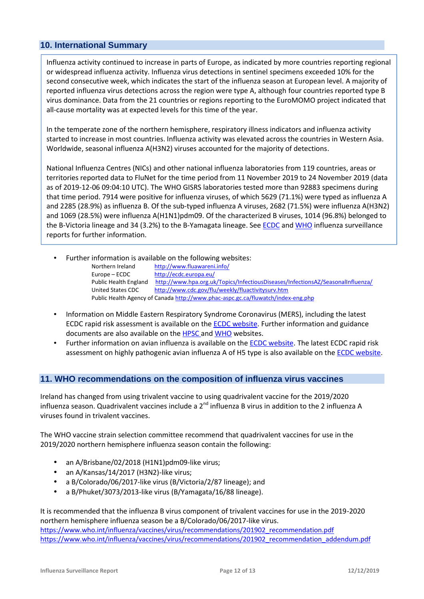## **10. International Summary**

Influenza activity continued to increase in parts of Europe, as indicated by more countries reporting regional or widespread influenza activity. Influenza virus detections in sentinel specimens exceeded 10% for the second consecutive week, which indicates the start of the influenza season at European level. A majority of reported influenza virus detections across the region were type A, although four countries reported type B virus dominance. Data from the 21 countries or regions reporting to the EuroMOMO project indicated that all-cause mortality was at expected levels for this time of the year.

In the temperate zone of the northern hemisphere, respiratory illness indicators and influenza activity started to increase in most countries. Influenza activity was elevated across the countries in Western Asia. Worldwide, seasonal influenza A(H3N2) viruses accounted for the majority of detections.

National Influenza Centres (NICs) and other national influenza laboratories from 119 countries, areas or territories reported data to FluNet for the time period from 11 November 2019 to 24 November 2019 (data as of 2019-12-06 09:04:10 UTC). The WHO GISRS laboratories tested more than 92883 specimens during that time period. 7914 were positive for influenza viruses, of which 5629 (71.1%) were typed as influenza A and 2285 (28.9%) as influenza B. Of the sub-typed influenza A viruses, 2682 (71.5%) were influenza A(H3N2) and 1069 (28.5%) were influenza A(H1N1)pdm09. Of the characterized B viruses, 1014 (96.8%) belonged to the B-Victoria lineage and 34 (3.2%) to the B-Yamagata lineage. See ECDC and WHO influenza surveillance reports for further information.

Further information is available on the following websites:

| Northern Ireland      | http://www.fluawareni.info/                                                      |
|-----------------------|----------------------------------------------------------------------------------|
| Europe – ECDC         | http://ecdc.europa.eu/                                                           |
| Public Health England | http://www.hpa.org.uk/Topics/InfectiousDiseases/InfectionsAZ/SeasonalInfluenza/  |
| United States CDC     | http://www.cdc.gov/flu/weekly/fluactivitysurv.htm                                |
|                       | Public Health Agency of Canada http://www.phac-aspc.gc.ca/fluwatch/index-eng.php |

- Information on Middle Eastern Respiratory Syndrome Coronavirus (MERS), including the latest ECDC rapid risk assessment is available on the ECDC website. Further information and guidance documents are also available on the HPSC and WHO websites.
- Further information on avian influenza is available on the ECDC website. The latest ECDC rapid risk assessment on highly pathogenic avian influenza A of H5 type is also available on the ECDC website.

### **11. WHO recommendations on the composition of influenza virus vaccines**

Ireland has changed from using trivalent vaccine to using quadrivalent vaccine for the 2019/2020 influenza season. Quadrivalent vaccines include a 2<sup>nd</sup> influenza B virus in addition to the 2 influenza A viruses found in trivalent vaccines.

The WHO vaccine strain selection committee recommend that quadrivalent vaccines for use in the 2019/2020 northern hemisphere influenza season contain the following:

- an A/Brisbane/02/2018 (H1N1)pdm09-like virus;
- an A/Kansas/14/2017 (H3N2)-like virus;
- a B/Colorado/06/2017-like virus (B/Victoria/2/87 lineage); and
- a B/Phuket/3073/2013-like virus (B/Yamagata/16/88 lineage).

It is recommended that the influenza B virus component of trivalent vaccines for use in the 2019-2020 northern hemisphere influenza season be a B/Colorado/06/2017-like virus. https://www.who.int/influenza/vaccines/virus/recommendations/201902\_recommendation.pdf https://www.who.int/influenza/vaccines/virus/recommendations/201902\_recommendation\_addendum.pdf